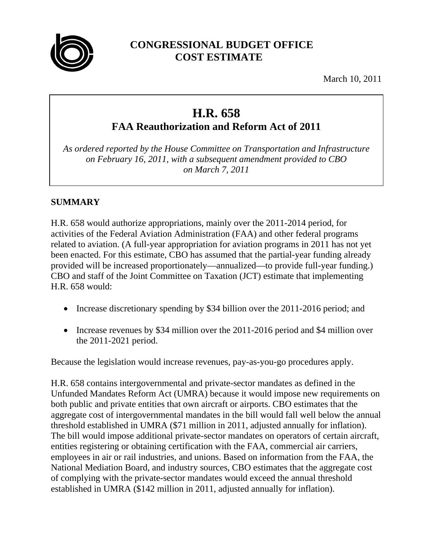

# **CONGRESSIONAL BUDGET OFFICE COST ESTIMATE**

March 10, 2011

# **H.R. 658**

**FAA Reauthorization and Reform Act of 2011**

*As ordered reported by the House Committee on Transportation and Infrastructure on February 16, 2011, with a subsequent amendment provided to CBO on March 7, 2011*

## **SUMMARY**

H.R. 658 would authorize appropriations, mainly over the 2011-2014 period, for activities of the Federal Aviation Administration (FAA) and other federal programs related to aviation. (A full-year appropriation for aviation programs in 2011 has not yet been enacted. For this estimate, CBO has assumed that the partial-year funding already provided will be increased proportionately—annualized—to provide full-year funding.) CBO and staff of the Joint Committee on Taxation (JCT) estimate that implementing H.R. 658 would:

- Increase discretionary spending by \$34 billion over the 2011-2016 period; and
- Increase revenues by \$34 million over the 2011-2016 period and \$4 million over the 2011-2021 period.

Because the legislation would increase revenues, pay-as-you-go procedures apply.

H.R. 658 contains intergovernmental and private-sector mandates as defined in the Unfunded Mandates Reform Act (UMRA) because it would impose new requirements on both public and private entities that own aircraft or airports. CBO estimates that the aggregate cost of intergovernmental mandates in the bill would fall well below the annual threshold established in UMRA (\$71 million in 2011, adjusted annually for inflation). The bill would impose additional private-sector mandates on operators of certain aircraft, entities registering or obtaining certification with the FAA, commercial air carriers, employees in air or rail industries, and unions. Based on information from the FAA, the National Mediation Board, and industry sources, CBO estimates that the aggregate cost of complying with the private-sector mandates would exceed the annual threshold established in UMRA (\$142 million in 2011, adjusted annually for inflation).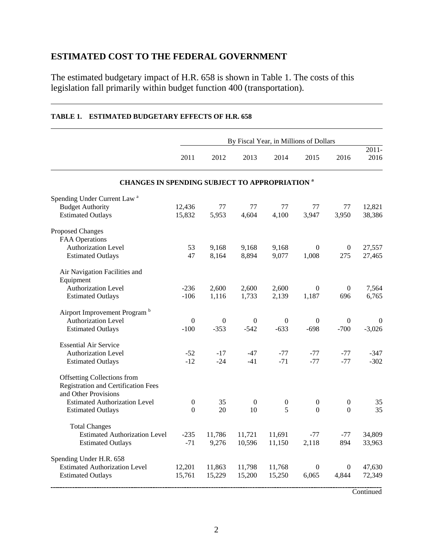# **ESTIMATED COST TO THE FEDERAL GOVERNMENT**

The estimated budgetary impact of H.R. 658 is shown in Table 1. The costs of this legislation fall primarily within budget function 400 (transportation).

|                                                                                                   | By Fiscal Year, in Millions of Dollars |                |                |                  |                  |                         |                  |  |  |  |  |
|---------------------------------------------------------------------------------------------------|----------------------------------------|----------------|----------------|------------------|------------------|-------------------------|------------------|--|--|--|--|
|                                                                                                   | 2011                                   | 2012           | 2013           | 2014             | 2015             | 2016                    | $2011 -$<br>2016 |  |  |  |  |
| <b>CHANGES IN SPENDING SUBJECT TO APPROPRIATION a</b>                                             |                                        |                |                |                  |                  |                         |                  |  |  |  |  |
| Spending Under Current Law <sup>a</sup>                                                           |                                        |                |                |                  |                  |                         |                  |  |  |  |  |
| <b>Budget Authority</b>                                                                           | 12,436                                 | 77             | 77             | 77               | 77               | 77                      | 12,821           |  |  |  |  |
| <b>Estimated Outlays</b>                                                                          | 15,832                                 | 5,953          | 4,604          | 4,100            | 3,947            | 3,950                   | 38,386           |  |  |  |  |
| Proposed Changes                                                                                  |                                        |                |                |                  |                  |                         |                  |  |  |  |  |
| <b>FAA Operations</b><br>Authorization Level                                                      | 53                                     |                | 9,168          | 9,168            | $\theta$         |                         | 27,557           |  |  |  |  |
| <b>Estimated Outlays</b>                                                                          | 47                                     | 9,168<br>8,164 | 8,894          | 9,077            | 1,008            | $\boldsymbol{0}$<br>275 | 27,465           |  |  |  |  |
| Air Navigation Facilities and<br>Equipment                                                        |                                        |                |                |                  |                  |                         |                  |  |  |  |  |
| Authorization Level                                                                               | $-236$                                 | 2,600          | 2,600          | 2,600            | $\Omega$         | $\boldsymbol{0}$        | 7,564            |  |  |  |  |
| <b>Estimated Outlays</b>                                                                          | $-106$                                 | 1,116          | 1,733          | 2,139            | 1,187            | 696                     | 6,765            |  |  |  |  |
| Airport Improvement Program <sup>b</sup>                                                          |                                        |                |                |                  |                  |                         |                  |  |  |  |  |
| <b>Authorization Level</b>                                                                        | $\theta$                               | $\mathbf{0}$   | $\mathbf{0}$   | $\overline{0}$   | $\mathbf{0}$     | $\mathbf{0}$            | $\theta$         |  |  |  |  |
| <b>Estimated Outlays</b>                                                                          | $-100$                                 | $-353$         | $-542$         | $-633$           | $-698$           | $-700$                  | $-3,026$         |  |  |  |  |
| <b>Essential Air Service</b>                                                                      |                                        |                |                |                  |                  |                         |                  |  |  |  |  |
| <b>Authorization Level</b>                                                                        | $-52$                                  | $-17$          | $-47$          | $-77$            | $-77$            | $-77$                   | $-347$           |  |  |  |  |
| <b>Estimated Outlays</b>                                                                          | $-12$                                  | $-24$          | $-41$          | $-71$            | $-77$            | $-77$                   | $-302$           |  |  |  |  |
| <b>Offsetting Collections from</b><br>Registration and Certification Fees<br>and Other Provisions |                                        |                |                |                  |                  |                         |                  |  |  |  |  |
| <b>Estimated Authorization Level</b>                                                              | $\boldsymbol{0}$                       | 35             | $\overline{0}$ | $\boldsymbol{0}$ | $\boldsymbol{0}$ | $\mathbf{0}$            | 35               |  |  |  |  |
| <b>Estimated Outlays</b>                                                                          | 0                                      | 20             | 10             | 5                | $\Omega$         | $\theta$                | 35               |  |  |  |  |
| <b>Total Changes</b>                                                                              |                                        |                |                |                  |                  |                         |                  |  |  |  |  |
| <b>Estimated Authorization Level</b>                                                              | $-235$                                 | 11,786         | 11,721         | 11,691           | $-77$            | $-77$                   | 34,809           |  |  |  |  |
| <b>Estimated Outlays</b>                                                                          | $-71$                                  | 9,276          | 10,596         | 11,150           | 2,118            | 894                     | 33,963           |  |  |  |  |
| Spending Under H.R. 658                                                                           |                                        |                |                |                  |                  |                         |                  |  |  |  |  |
| <b>Estimated Authorization Level</b>                                                              | 12,201                                 | 11,863         | 11,798         | 11,768           | $\mathbf{0}$     | $\theta$                | 47,630           |  |  |  |  |
| <b>Estimated Outlays</b>                                                                          | 15,761                                 | 15,229         | 15,200         | 15,250           | 6,065            | 4,844                   | 72,349           |  |  |  |  |
|                                                                                                   |                                        |                |                |                  |                  |                         |                  |  |  |  |  |

#### **TABLE 1. ESTIMATED BUDGETARY EFFECTS OF H.R. 658**

**Continued**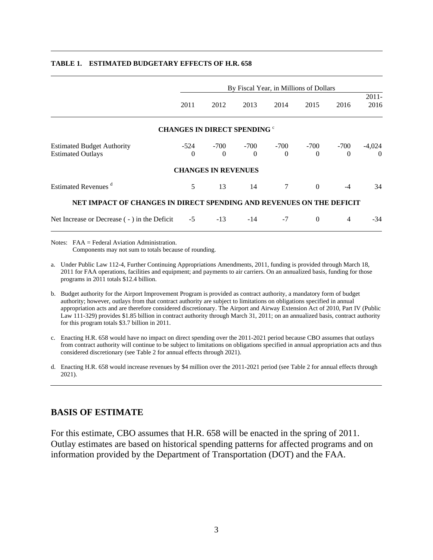|                                                                      | By Fiscal Year, in Millions of Dollars |                                     |          |                           |                  |                    |                      |  |  |  |
|----------------------------------------------------------------------|----------------------------------------|-------------------------------------|----------|---------------------------|------------------|--------------------|----------------------|--|--|--|
|                                                                      | 2011                                   | 2012                                | 2013     | 2014                      | 2015             | 2016               | $2011 -$<br>2016     |  |  |  |
|                                                                      |                                        | <b>CHANGES IN DIRECT SPENDING °</b> |          |                           |                  |                    |                      |  |  |  |
| <b>Estimated Budget Authority</b><br><b>Estimated Outlays</b>        | $\mathbf{0}$                           | $-524$ $-700$<br>$\Omega$           | $\theta$ | $-700$ $-700$<br>$\Omega$ | -700<br>$\Omega$ | $-700$<br>$\Omega$ | $-4,024$<br>$\Omega$ |  |  |  |
|                                                                      |                                        | <b>CHANGES IN REVENUES</b>          |          |                           |                  |                    |                      |  |  |  |
| Estimated Revenues <sup>d</sup>                                      | 5                                      | 13                                  | 14       | $\tau$                    | $\theta$         | $-4$               | 34                   |  |  |  |
| NET IMPACT OF CHANGES IN DIRECT SPENDING AND REVENUES ON THE DEFICIT |                                        |                                     |          |                           |                  |                    |                      |  |  |  |
| Net Increase or Decrease (-) in the Deficit                          | $-5$                                   | $-13$                               | $-14$    | $-7$                      | $\Omega$         | $\overline{4}$     | $-34$                |  |  |  |

#### **TABLE 1. ESTIMATED BUDGETARY EFFECTS OF H.R. 658**

Notes: FAA = Federal Aviation Administration. Components may not sum to totals because of rounding.

a. Under Public Law 112-4, Further Continuing Appropriations Amendments, 2011, funding is provided through March 18, 2011 for FAA operations, facilities and equipment; and payments to air carriers. On an annualized basis, funding for those programs in 2011 totals \$12.4 billion.

- b. Budget authority for the Airport Improvement Program is provided as contract authority, a mandatory form of budget authority; however, outlays from that contract authority are subject to limitations on obligations specified in annual appropriation acts and are therefore considered discretionary. The Airport and Airway Extension Act of 2010, Part IV (Public Law 111-329) provides \$1.85 billion in contract authority through March 31, 2011; on an annualized basis, contract authority for this program totals \$3.7 billion in 2011.
- c. Enacting H.R. 658 would have no impact on direct spending over the 2011-2021 period because CBO assumes that outlays from contract authority will continue to be subject to limitations on obligations specified in annual appropriation acts and thus considered discretionary (see Table 2 for annual effects through 2021).
- d. Enacting H.R. 658 would increase revenues by \$4 million over the 2011-2021 period (see Table 2 for annual effects through 2021).

## **BASIS OF ESTIMATE**

For this estimate, CBO assumes that H.R. 658 will be enacted in the spring of 2011. Outlay estimates are based on historical spending patterns for affected programs and on information provided by the Department of Transportation (DOT) and the FAA.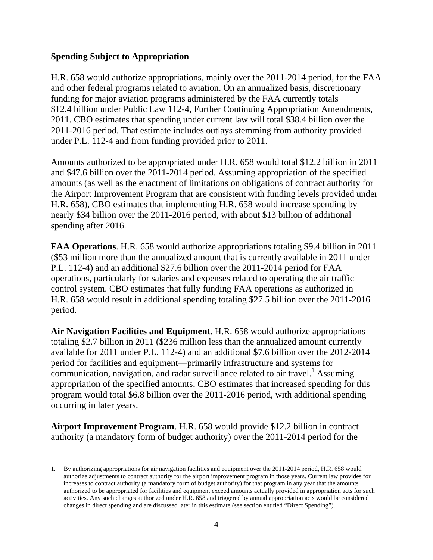#### **Spending Subject to Appropriation**

 $\overline{a}$ 

H.R. 658 would authorize appropriations, mainly over the 2011-2014 period, for the FAA and other federal programs related to aviation. On an annualized basis, discretionary funding for major aviation programs administered by the FAA currently totals \$12.4 billion under Public Law 112-4, Further Continuing Appropriation Amendments, 2011. CBO estimates that spending under current law will total \$38.4 billion over the 2011-2016 period. That estimate includes outlays stemming from authority provided under P.L. 112-4 and from funding provided prior to 2011.

Amounts authorized to be appropriated under H.R. 658 would total \$12.2 billion in 2011 and \$47.6 billion over the 2011-2014 period. Assuming appropriation of the specified amounts (as well as the enactment of limitations on obligations of contract authority for the Airport Improvement Program that are consistent with funding levels provided under H.R. 658), CBO estimates that implementing H.R. 658 would increase spending by nearly \$34 billion over the 2011-2016 period, with about \$13 billion of additional spending after 2016.

**FAA Operations**. H.R. 658 would authorize appropriations totaling \$9.4 billion in 2011 (\$53 million more than the annualized amount that is currently available in 2011 under P.L. 112-4) and an additional \$27.6 billion over the 2011-2014 period for FAA operations, particularly for salaries and expenses related to operating the air traffic control system. CBO estimates that fully funding FAA operations as authorized in H.R. 658 would result in additional spending totaling \$27.5 billion over the 2011-2016 period.

**Air Navigation Facilities and Equipment**. H.R. 658 would authorize appropriations totaling \$2.7 billion in 2011 (\$236 million less than the annualized amount currently available for 2011 under P.L. 112-4) and an additional \$7.6 billion over the 2012-2014 period for facilities and equipment—primarily infrastructure and systems for communication, navigation, and radar surveillance related to air travel.<sup>1</sup> Assuming appropriation of the specified amounts, CBO estimates that increased spending for this program would total \$6.8 billion over the 2011-2016 period, with additional spending occurring in later years.

**Airport Improvement Program**. H.R. 658 would provide \$12.2 billion in contract authority (a mandatory form of budget authority) over the 2011-2014 period for the

<sup>1.</sup> By authorizing appropriations for air navigation facilities and equipment over the 2011-2014 period, H.R. 658 would authorize adjustments to contract authority for the airport improvement program in those years. Current law provides for increases to contract authority (a mandatory form of budget authority) for that program in any year that the amounts authorized to be appropriated for facilities and equipment exceed amounts actually provided in appropriation acts for such activities. Any such changes authorized under H.R. 658 and triggered by annual appropriation acts would be considered changes in direct spending and are discussed later in this estimate (see section entitled "Direct Spending").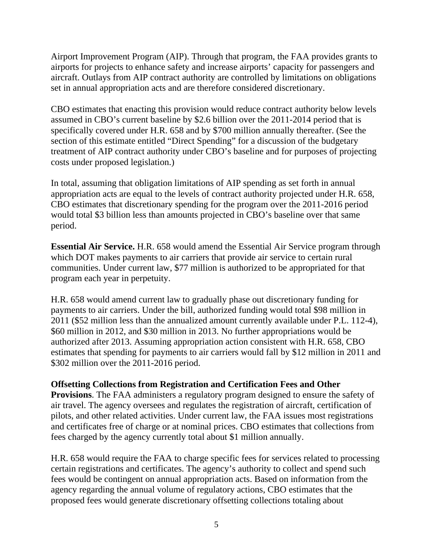Airport Improvement Program (AIP). Through that program, the FAA provides grants to airports for projects to enhance safety and increase airports' capacity for passengers and aircraft. Outlays from AIP contract authority are controlled by limitations on obligations set in annual appropriation acts and are therefore considered discretionary.

CBO estimates that enacting this provision would reduce contract authority below levels assumed in CBO's current baseline by \$2.6 billion over the 2011-2014 period that is specifically covered under H.R. 658 and by \$700 million annually thereafter. (See the section of this estimate entitled "Direct Spending" for a discussion of the budgetary treatment of AIP contract authority under CBO's baseline and for purposes of projecting costs under proposed legislation.)

In total, assuming that obligation limitations of AIP spending as set forth in annual appropriation acts are equal to the levels of contract authority projected under H.R. 658, CBO estimates that discretionary spending for the program over the 2011-2016 period would total \$3 billion less than amounts projected in CBO's baseline over that same period.

**Essential Air Service.** H.R. 658 would amend the Essential Air Service program through which DOT makes payments to air carriers that provide air service to certain rural communities. Under current law, \$77 million is authorized to be appropriated for that program each year in perpetuity.

H.R. 658 would amend current law to gradually phase out discretionary funding for payments to air carriers. Under the bill, authorized funding would total \$98 million in 2011 (\$52 million less than the annualized amount currently available under P.L. 112-4), \$60 million in 2012, and \$30 million in 2013. No further appropriations would be authorized after 2013. Assuming appropriation action consistent with H.R. 658, CBO estimates that spending for payments to air carriers would fall by \$12 million in 2011 and \$302 million over the 2011-2016 period.

## **Offsetting Collections from Registration and Certification Fees and Other**

**Provisions**. The FAA administers a regulatory program designed to ensure the safety of air travel. The agency oversees and regulates the registration of aircraft, certification of pilots, and other related activities. Under current law, the FAA issues most registrations and certificates free of charge or at nominal prices. CBO estimates that collections from fees charged by the agency currently total about \$1 million annually.

H.R. 658 would require the FAA to charge specific fees for services related to processing certain registrations and certificates. The agency's authority to collect and spend such fees would be contingent on annual appropriation acts. Based on information from the agency regarding the annual volume of regulatory actions, CBO estimates that the proposed fees would generate discretionary offsetting collections totaling about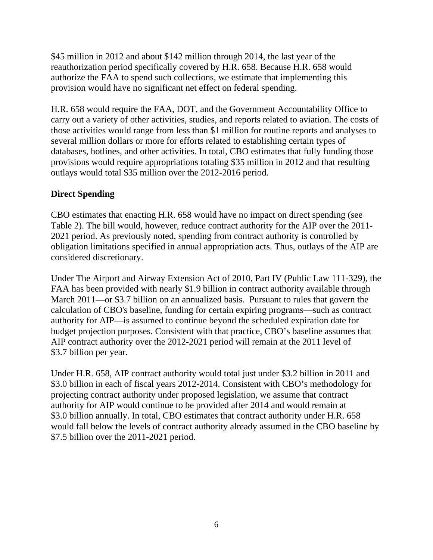\$45 million in 2012 and about \$142 million through 2014, the last year of the reauthorization period specifically covered by H.R. 658. Because H.R. 658 would authorize the FAA to spend such collections, we estimate that implementing this provision would have no significant net effect on federal spending.

H.R. 658 would require the FAA, DOT, and the Government Accountability Office to carry out a variety of other activities, studies, and reports related to aviation. The costs of those activities would range from less than \$1 million for routine reports and analyses to several million dollars or more for efforts related to establishing certain types of databases, hotlines, and other activities. In total, CBO estimates that fully funding those provisions would require appropriations totaling \$35 million in 2012 and that resulting outlays would total \$35 million over the 2012-2016 period.

## **Direct Spending**

CBO estimates that enacting H.R. 658 would have no impact on direct spending (see Table 2). The bill would, however, reduce contract authority for the AIP over the 2011- 2021 period. As previously noted, spending from contract authority is controlled by obligation limitations specified in annual appropriation acts. Thus, outlays of the AIP are considered discretionary.

Under The Airport and Airway Extension Act of 2010, Part IV (Public Law 111-329), the FAA has been provided with nearly \$1.9 billion in contract authority available through March 2011—or \$3.7 billion on an annualized basis. Pursuant to rules that govern the calculation of CBO's baseline, funding for certain expiring programs—such as contract authority for AIP—is assumed to continue beyond the scheduled expiration date for budget projection purposes. Consistent with that practice, CBO's baseline assumes that AIP contract authority over the 2012-2021 period will remain at the 2011 level of \$3.7 billion per year.

Under H.R. 658, AIP contract authority would total just under \$3.2 billion in 2011 and \$3.0 billion in each of fiscal years 2012-2014. Consistent with CBO's methodology for projecting contract authority under proposed legislation, we assume that contract authority for AIP would continue to be provided after 2014 and would remain at \$3.0 billion annually. In total, CBO estimates that contract authority under H.R. 658 would fall below the levels of contract authority already assumed in the CBO baseline by \$7.5 billion over the 2011-2021 period.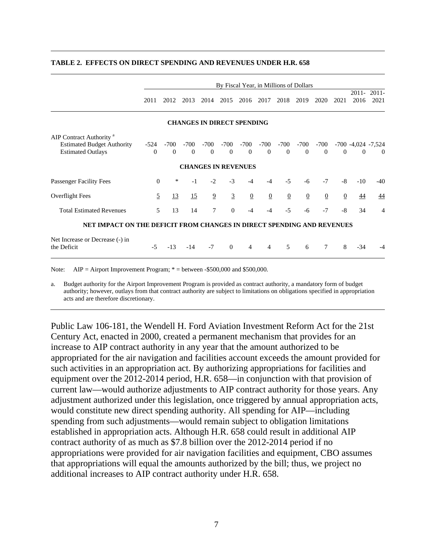|                                                                                                      | By Fiscal Year, in Millions of Dollars |                    |                    |                                   |                    |                    |                    |                    |                  |                  |              |                                  |                  |
|------------------------------------------------------------------------------------------------------|----------------------------------------|--------------------|--------------------|-----------------------------------|--------------------|--------------------|--------------------|--------------------|------------------|------------------|--------------|----------------------------------|------------------|
|                                                                                                      | 2011                                   | 2012               | 2013               | 2014                              | 2015               | 2016               | 2017               | 2018               | 2019             | 2020             | 2021         | 2011-<br>2016                    | $2011 -$<br>2021 |
|                                                                                                      |                                        |                    |                    | <b>CHANGES IN DIRECT SPENDING</b> |                    |                    |                    |                    |                  |                  |              |                                  |                  |
| AIP Contract Authority <sup>a</sup><br><b>Estimated Budget Authority</b><br><b>Estimated Outlays</b> | -524<br>$\Omega$                       | $-700$<br>$\theta$ | $-700$<br>$\theta$ | $-700$<br>$\theta$                | $-700$<br>$\Omega$ | $-700$<br>$\theta$ | $-700$<br>$\Omega$ | $-700$<br>$\theta$ | -700<br>$\theta$ | -700<br>$\theta$ | $\theta$     | $-700 - 4024 - 7024$<br>$\Omega$ | $\Omega$         |
|                                                                                                      |                                        |                    |                    | <b>CHANGES IN REVENUES</b>        |                    |                    |                    |                    |                  |                  |              |                                  |                  |
| Passenger Facility Fees                                                                              | $\Omega$                               | *                  | $-1$               | $-2$                              | $-3$               | $-4$               | $-4$               | $-5$               | -6               | $-7$             | $-8$         | $-10$                            | $-40$            |
| Overflight Fees                                                                                      | $\overline{2}$                         | <u>13</u>          | 15                 | $\overline{9}$                    | $\overline{3}$     | $\overline{0}$     | $\overline{0}$     | $\overline{0}$     | $\overline{0}$   | $\overline{0}$   | $\mathbf{0}$ | $\overline{44}$                  | 44               |
| <b>Total Estimated Revenues</b>                                                                      | 5                                      | 13                 | 14                 | 7                                 | $\Omega$           | $-4$               | $-4$               | $-5$               | $-6$             | $-7$             | $-8$         | 34                               | 4                |
| NET IMPACT ON THE DEFICIT FROM CHANGES IN DIRECT SPENDING AND REVENUES                               |                                        |                    |                    |                                   |                    |                    |                    |                    |                  |                  |              |                                  |                  |
| Net Increase or Decrease (-) in<br>the Deficit                                                       | $-5$                                   | $-13$              | $-14$              | $-7$                              | $\theta$           | 4                  | 4                  | 5                  | 6                | 7                | 8            | $-34$                            |                  |

#### **TABLE 2. EFFECTS ON DIRECT SPENDING AND REVENUES UNDER H.R. 658**

Note: AIP = Airport Improvement Program;  $*$  = between -\$500,000 and \$500,000.

a. Budget authority for the Airport Improvement Program is provided as contract authority, a mandatory form of budget authority; however, outlays from that contract authority are subject to limitations on obligations specified in appropriation acts and are therefore discretionary.

Public Law 106-181, the Wendell H. Ford Aviation Investment Reform Act for the 21st Century Act, enacted in 2000, created a permanent mechanism that provides for an increase to AIP contract authority in any year that the amount authorized to be appropriated for the air navigation and facilities account exceeds the amount provided for such activities in an appropriation act. By authorizing appropriations for facilities and equipment over the 2012-2014 period, H.R. 658—in conjunction with that provision of current law—would authorize adjustments to AIP contract authority for those years. Any adjustment authorized under this legislation, once triggered by annual appropriation acts, would constitute new direct spending authority. All spending for AIP—including spending from such adjustments—would remain subject to obligation limitations established in appropriation acts. Although H.R. 658 could result in additional AIP contract authority of as much as \$7.8 billion over the 2012-2014 period if no appropriations were provided for air navigation facilities and equipment, CBO assumes that appropriations will equal the amounts authorized by the bill; thus, we project no additional increases to AIP contract authority under H.R. 658.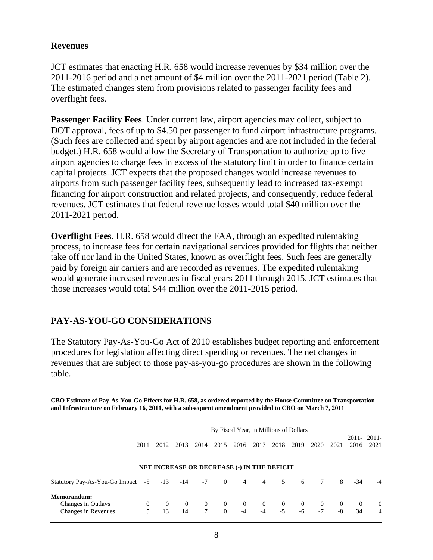#### **Revenues**

JCT estimates that enacting H.R. 658 would increase revenues by \$34 million over the 2011-2016 period and a net amount of \$4 million over the 2011-2021 period (Table 2). The estimated changes stem from provisions related to passenger facility fees and overflight fees.

**Passenger Facility Fees.** Under current law, airport agencies may collect, subject to DOT approval, fees of up to \$4.50 per passenger to fund airport infrastructure programs. (Such fees are collected and spent by airport agencies and are not included in the federal budget.) H.R. 658 would allow the Secretary of Transportation to authorize up to five airport agencies to charge fees in excess of the statutory limit in order to finance certain capital projects. JCT expects that the proposed changes would increase revenues to airports from such passenger facility fees, subsequently lead to increased tax-exempt financing for airport construction and related projects, and consequently, reduce federal revenues. JCT estimates that federal revenue losses would total \$40 million over the 2011-2021 period.

**Overflight Fees**. H.R. 658 would direct the FAA, through an expedited rulemaking process, to increase fees for certain navigational services provided for flights that neither take off nor land in the United States, known as overflight fees. Such fees are generally paid by foreign air carriers and are recorded as revenues. The expedited rulemaking would generate increased revenues in fiscal years 2011 through 2015. JCT estimates that those increases would total \$44 million over the 2011-2015 period.

## **PAY-AS-YOU-GO CONSIDERATIONS**

The Statutory Pay-As-You-Go Act of 2010 establishes budget reporting and enforcement procedures for legislation affecting direct spending or revenues. The net changes in revenues that are subject to those pay-as-you-go procedures are shown in the following table.

**CBO Estimate of Pay-As-You-Go Effects for H.R. 658, as ordered reported by the House Committee on Transportation and Infrastructure on February 16, 2011, with a subsequent amendment provided to CBO on March 7, 2011** 

|                                                          |               |                      |                |                          |                            | By Fiscal Year, in Millions of Dollars             |                  |                  |                        |                  |                  |                |                    |
|----------------------------------------------------------|---------------|----------------------|----------------|--------------------------|----------------------------|----------------------------------------------------|------------------|------------------|------------------------|------------------|------------------|----------------|--------------------|
|                                                          | 2011          | 2012                 | 2013           | 2014                     | 2015                       | 2016                                               | 2017             | 2018             | 2019                   | 2020             | 2021             | 2016           | 2011-2011-<br>2021 |
|                                                          |               |                      |                |                          |                            | <b>NET INCREASE OR DECREASE (-) IN THE DEFICIT</b> |                  |                  |                        |                  |                  |                |                    |
| Statutory Pay-As-You-Go Impact -5 -13 -14 -7             |               |                      |                |                          | $\overline{0}$             |                                                    | $4\quad 4$       | 5                | 6                      | 7                | 8                | $-34$          | $-4$               |
| Memorandum:<br>Changes in Outlays<br>Changes in Revenues | $\Omega$<br>5 | $\overline{0}$<br>13 | $\Omega$<br>14 | $\overline{0}$<br>$\tau$ | $\overline{0}$<br>$\Omega$ | $\overline{0}$<br>$-4$                             | $\Omega$<br>$-4$ | $\Omega$<br>$-5$ | $\overline{0}$<br>$-6$ | $\Omega$<br>$-7$ | $\Omega$<br>$-8$ | $\Omega$<br>34 | $\theta$<br>4      |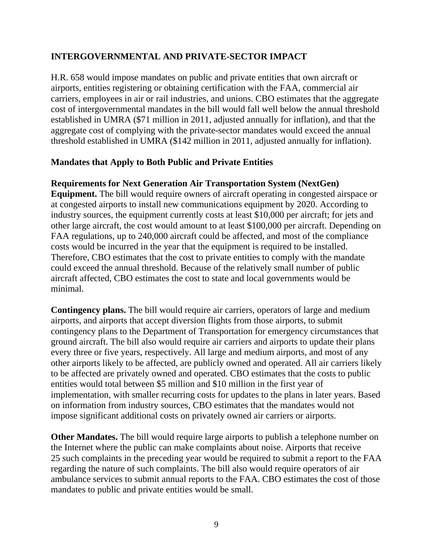## **INTERGOVERNMENTAL AND PRIVATE-SECTOR IMPACT**

H.R. 658 would impose mandates on public and private entities that own aircraft or airports, entities registering or obtaining certification with the FAA, commercial air carriers, employees in air or rail industries, and unions. CBO estimates that the aggregate cost of intergovernmental mandates in the bill would fall well below the annual threshold established in UMRA (\$71 million in 2011, adjusted annually for inflation), and that the aggregate cost of complying with the private-sector mandates would exceed the annual threshold established in UMRA (\$142 million in 2011, adjusted annually for inflation).

## **Mandates that Apply to Both Public and Private Entities**

## **Requirements for Next Generation Air Transportation System (NextGen)**

**Equipment.** The bill would require owners of aircraft operating in congested airspace or at congested airports to install new communications equipment by 2020. According to industry sources, the equipment currently costs at least \$10,000 per aircraft; for jets and other large aircraft, the cost would amount to at least \$100,000 per aircraft. Depending on FAA regulations, up to 240,000 aircraft could be affected, and most of the compliance costs would be incurred in the year that the equipment is required to be installed. Therefore, CBO estimates that the cost to private entities to comply with the mandate could exceed the annual threshold. Because of the relatively small number of public aircraft affected, CBO estimates the cost to state and local governments would be minimal.

**Contingency plans.** The bill would require air carriers, operators of large and medium airports, and airports that accept diversion flights from those airports, to submit contingency plans to the Department of Transportation for emergency circumstances that ground aircraft. The bill also would require air carriers and airports to update their plans every three or five years, respectively. All large and medium airports, and most of any other airports likely to be affected, are publicly owned and operated. All air carriers likely to be affected are privately owned and operated. CBO estimates that the costs to public entities would total between \$5 million and \$10 million in the first year of implementation, with smaller recurring costs for updates to the plans in later years. Based on information from industry sources, CBO estimates that the mandates would not impose significant additional costs on privately owned air carriers or airports.

**Other Mandates.** The bill would require large airports to publish a telephone number on the Internet where the public can make complaints about noise. Airports that receive 25 such complaints in the preceding year would be required to submit a report to the FAA regarding the nature of such complaints. The bill also would require operators of air ambulance services to submit annual reports to the FAA. CBO estimates the cost of those mandates to public and private entities would be small.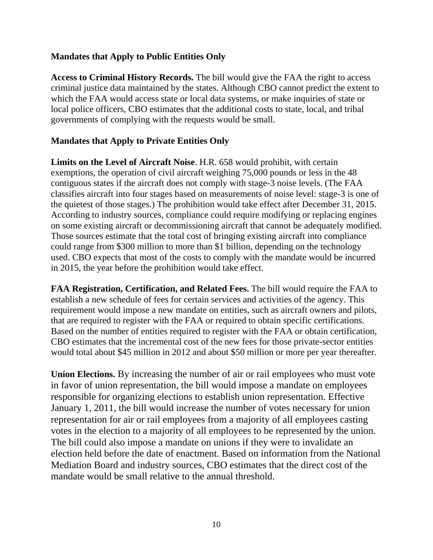#### **Mandates that Apply to Public Entities Only**

**Access to Criminal History Records.** The bill would give the FAA the right to access criminal justice data maintained by the states. Although CBO cannot predict the extent to which the FAA would access state or local data systems, or make inquiries of state or local police officers, CBO estimates that the additional costs to state, local, and tribal governments of complying with the requests would be small.

## **Mandates that Apply to Private Entities Only**

**Limits on the Level of Aircraft Noise**. H.R. 658 would prohibit, with certain exemptions, the operation of civil aircraft weighing 75,000 pounds or less in the 48 contiguous states if the aircraft does not comply with stage-3 noise levels. (The FAA classifies aircraft into four stages based on measurements of noise level: stage-3 is one of the quietest of those stages.) The prohibition would take effect after December 31, 2015. According to industry sources, compliance could require modifying or replacing engines on some existing aircraft or decommissioning aircraft that cannot be adequately modified. Those sources estimate that the total cost of bringing existing aircraft into compliance could range from \$300 million to more than \$1 billion, depending on the technology used. CBO expects that most of the costs to comply with the mandate would be incurred in 2015, the year before the prohibition would take effect.

**FAA Registration, Certification, and Related Fees.** The bill would require the FAA to establish a new schedule of fees for certain services and activities of the agency. This requirement would impose a new mandate on entities, such as aircraft owners and pilots, that are required to register with the FAA or required to obtain specific certifications. Based on the number of entities required to register with the FAA or obtain certification, CBO estimates that the incremental cost of the new fees for those private-sector entities would total about \$45 million in 2012 and about \$50 million or more per year thereafter.

**Union Elections.** By increasing the number of air or rail employees who must vote in favor of union representation, the bill would impose a mandate on employees responsible for organizing elections to establish union representation. Effective January 1, 2011, the bill would increase the number of votes necessary for union representation for air or rail employees from a majority of all employees casting votes in the election to a majority of all employees to be represented by the union. The bill could also impose a mandate on unions if they were to invalidate an election held before the date of enactment. Based on information from the National Mediation Board and industry sources, CBO estimates that the direct cost of the mandate would be small relative to the annual threshold.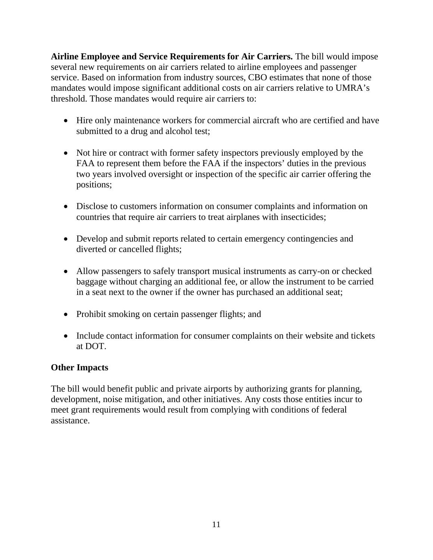**Airline Employee and Service Requirements for Air Carriers.** The bill would impose several new requirements on air carriers related to airline employees and passenger service. Based on information from industry sources, CBO estimates that none of those mandates would impose significant additional costs on air carriers relative to UMRA's threshold. Those mandates would require air carriers to:

- Hire only maintenance workers for commercial aircraft who are certified and have submitted to a drug and alcohol test;
- Not hire or contract with former safety inspectors previously employed by the FAA to represent them before the FAA if the inspectors' duties in the previous two years involved oversight or inspection of the specific air carrier offering the positions;
- Disclose to customers information on consumer complaints and information on countries that require air carriers to treat airplanes with insecticides;
- Develop and submit reports related to certain emergency contingencies and diverted or cancelled flights;
- Allow passengers to safely transport musical instruments as carry-on or checked baggage without charging an additional fee, or allow the instrument to be carried in a seat next to the owner if the owner has purchased an additional seat;
- Prohibit smoking on certain passenger flights; and
- Include contact information for consumer complaints on their website and tickets at DOT.

## **Other Impacts**

The bill would benefit public and private airports by authorizing grants for planning, development, noise mitigation, and other initiatives. Any costs those entities incur to meet grant requirements would result from complying with conditions of federal assistance.